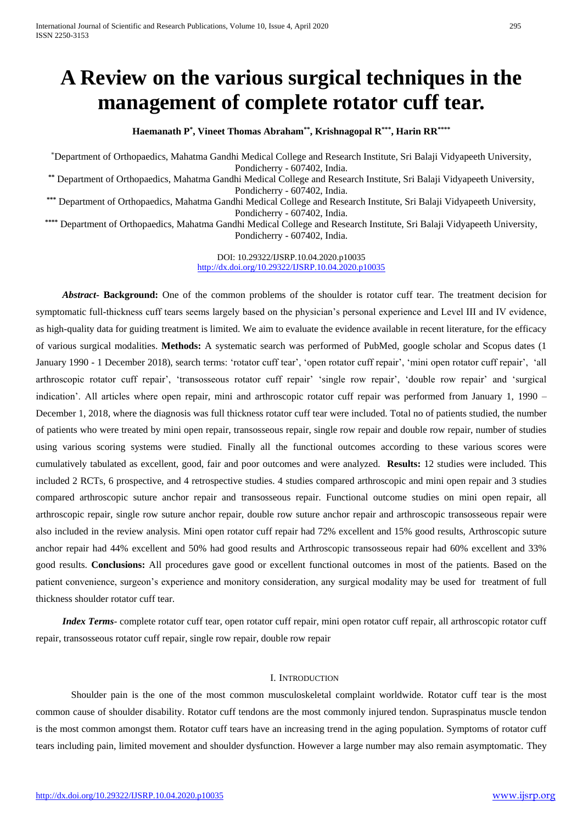# **A Review on the various surgical techniques in the management of complete rotator cuff tear.**

**Haemanath P\* , Vineet Thomas Abraham\*\* , Krishnagopal R\*\*\*, Harin RR\*\*\*\***

\*Department of Orthopaedics, Mahatma Gandhi Medical College and Research Institute, Sri Balaji Vidyapeeth University, Pondicherry - 607402, India.

**\*\*** Department of Orthopaedics, Mahatma Gandhi Medical College and Research Institute, Sri Balaji Vidyapeeth University, Pondicherry - 607402, India.

**\*\*\*** Department of Orthopaedics, Mahatma Gandhi Medical College and Research Institute, Sri Balaji Vidyapeeth University, Pondicherry - 607402, India.

**\*\*\*\*** Department of Orthopaedics, Mahatma Gandhi Medical College and Research Institute, Sri Balaji Vidyapeeth University, Pondicherry - 607402, India.

> DOI: 10.29322/IJSRP.10.04.2020.p10035 <http://dx.doi.org/10.29322/IJSRP.10.04.2020.p10035>

*Abstract***- Background:** One of the common problems of the shoulder is rotator cuff tear. The treatment decision for symptomatic full-thickness cuff tears seems largely based on the physician's personal experience and Level III and IV evidence, as high-quality data for guiding treatment is limited. We aim to evaluate the evidence available in recent literature, for the efficacy of various surgical modalities. **Methods:** A systematic search was performed of PubMed, google scholar and Scopus dates (1 January 1990 - 1 December 2018), search terms: 'rotator cuff tear', 'open rotator cuff repair', 'mini open rotator cuff repair', 'all arthroscopic rotator cuff repair', 'transosseous rotator cuff repair' 'single row repair', 'double row repair' and 'surgical indication'. All articles where open repair, mini and arthroscopic rotator cuff repair was performed from January 1, 1990 – December 1, 2018, where the diagnosis was full thickness rotator cuff tear were included. Total no of patients studied, the number of patients who were treated by mini open repair, transosseous repair, single row repair and double row repair, number of studies using various scoring systems were studied. Finally all the functional outcomes according to these various scores were cumulatively tabulated as excellent, good, fair and poor outcomes and were analyzed. **Results:** 12 studies were included. This included 2 RCTs, 6 prospective, and 4 retrospective studies. 4 studies compared arthroscopic and mini open repair and 3 studies compared arthroscopic suture anchor repair and transosseous repair. Functional outcome studies on mini open repair, all arthroscopic repair, single row suture anchor repair, double row suture anchor repair and arthroscopic transosseous repair were also included in the review analysis. Mini open rotator cuff repair had 72% excellent and 15% good results, Arthroscopic suture anchor repair had 44% excellent and 50% had good results and Arthroscopic transosseous repair had 60% excellent and 33% good results. **Conclusions:** All procedures gave good or excellent functional outcomes in most of the patients. Based on the patient convenience, surgeon's experience and monitory consideration, any surgical modality may be used for treatment of full thickness shoulder rotator cuff tear.

*Index Terms*- complete rotator cuff tear, open rotator cuff repair, mini open rotator cuff repair, all arthroscopic rotator cuff repair, transosseous rotator cuff repair, single row repair, double row repair

# I. INTRODUCTION

Shoulder pain is the one of the most common musculoskeletal complaint worldwide. Rotator cuff tear is the most common cause of shoulder disability. Rotator cuff tendons are the most commonly injured tendon. Supraspinatus muscle tendon is the most common amongst them. Rotator cuff tears have an increasing trend in the aging population. Symptoms of rotator cuff tears including pain, limited movement and shoulder dysfunction. However a large number may also remain asymptomatic. They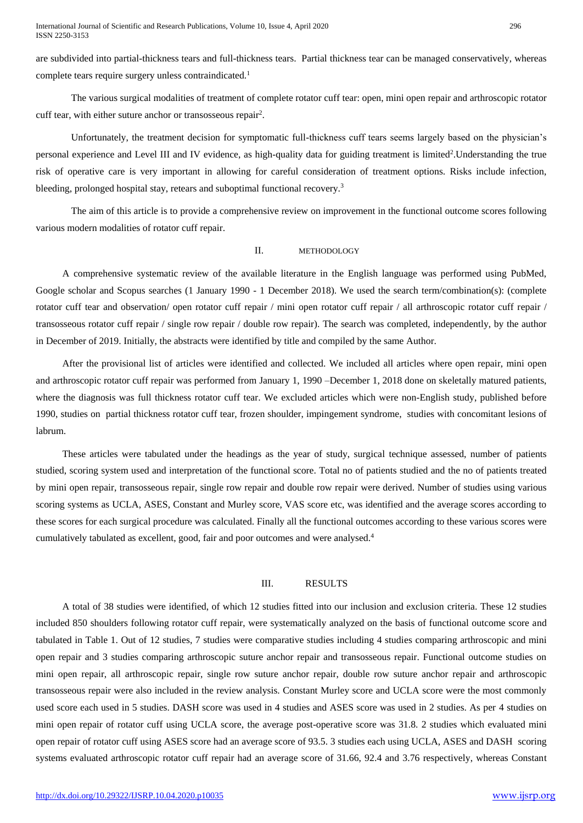are subdivided into partial-thickness tears and full-thickness tears. Partial thickness tear can be managed conservatively, whereas complete tears require surgery unless contraindicated.<sup>1</sup>

The various surgical modalities of treatment of complete rotator cuff tear: open, mini open repair and arthroscopic rotator cuff tear, with either suture anchor or transosseous repair<sup>2</sup> .

Unfortunately, the treatment decision for symptomatic full-thickness cuff tears seems largely based on the physician's personal experience and Level III and IV evidence, as high-quality data for guiding treatment is limited<sup>2</sup>. Understanding the true risk of operative care is very important in allowing for careful consideration of treatment options. Risks include infection, bleeding, prolonged hospital stay, retears and suboptimal functional recovery.<sup>3</sup>

The aim of this article is to provide a comprehensive review on improvement in the functional outcome scores following various modern modalities of rotator cuff repair.

# II. METHODOLOGY

A comprehensive systematic review of the available literature in the English language was performed using PubMed, Google scholar and Scopus searches (1 January 1990 - 1 December 2018). We used the search term/combination(s): (complete rotator cuff tear and observation/ open rotator cuff repair / mini open rotator cuff repair / all arthroscopic rotator cuff repair / transosseous rotator cuff repair / single row repair / double row repair). The search was completed, independently, by the author in December of 2019. Initially, the abstracts were identified by title and compiled by the same Author.

After the provisional list of articles were identified and collected. We included all articles where open repair, mini open and arthroscopic rotator cuff repair was performed from January 1, 1990 –December 1, 2018 done on skeletally matured patients, where the diagnosis was full thickness rotator cuff tear. We excluded articles which were non-English study, published before 1990, studies on partial thickness rotator cuff tear, frozen shoulder, impingement syndrome, studies with concomitant lesions of labrum.

These articles were tabulated under the headings as the year of study, surgical technique assessed, number of patients studied, scoring system used and interpretation of the functional score. Total no of patients studied and the no of patients treated by mini open repair, transosseous repair, single row repair and double row repair were derived. Number of studies using various scoring systems as UCLA, ASES, Constant and Murley score, VAS score etc, was identified and the average scores according to these scores for each surgical procedure was calculated. Finally all the functional outcomes according to these various scores were cumulatively tabulated as excellent, good, fair and poor outcomes and were analysed.<sup>4</sup>

# III. RESULTS

A total of 38 studies were identified, of which 12 studies fitted into our inclusion and exclusion criteria. These 12 studies included 850 shoulders following rotator cuff repair, were systematically analyzed on the basis of functional outcome score and tabulated in Table 1. Out of 12 studies, 7 studies were comparative studies including 4 studies comparing arthroscopic and mini open repair and 3 studies comparing arthroscopic suture anchor repair and transosseous repair. Functional outcome studies on mini open repair, all arthroscopic repair, single row suture anchor repair, double row suture anchor repair and arthroscopic transosseous repair were also included in the review analysis. Constant Murley score and UCLA score were the most commonly used score each used in 5 studies. DASH score was used in 4 studies and ASES score was used in 2 studies. As per 4 studies on mini open repair of rotator cuff using UCLA score, the average post-operative score was 31.8. 2 studies which evaluated mini open repair of rotator cuff using ASES score had an average score of 93.5. 3 studies each using UCLA, ASES and DASH scoring systems evaluated arthroscopic rotator cuff repair had an average score of 31.66, 92.4 and 3.76 respectively, whereas Constant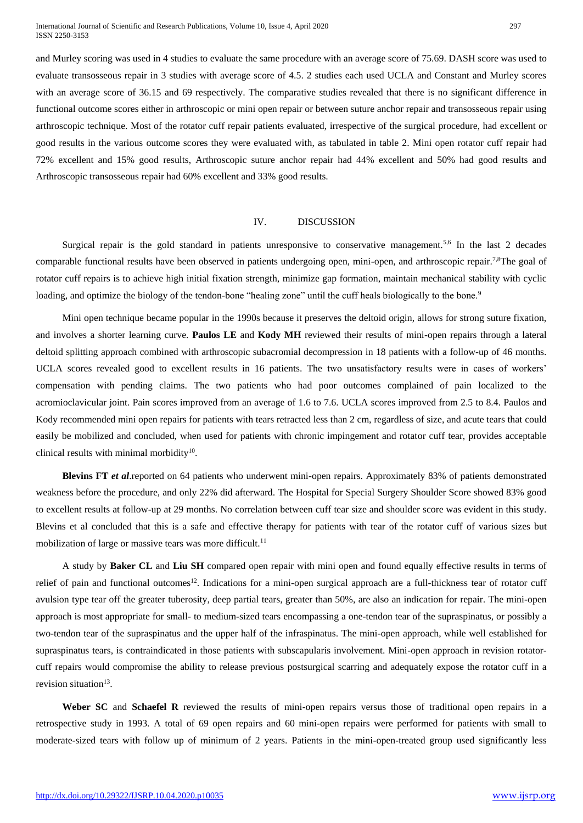International Journal of Scientific and Research Publications, Volume 10, Issue 4, April 2020 297 ISSN 2250-3153

and Murley scoring was used in 4 studies to evaluate the same procedure with an average score of 75.69. DASH score was used to evaluate transosseous repair in 3 studies with average score of 4.5. 2 studies each used UCLA and Constant and Murley scores with an average score of 36.15 and 69 respectively. The comparative studies revealed that there is no significant difference in functional outcome scores either in arthroscopic or mini open repair or between suture anchor repair and transosseous repair using arthroscopic technique. Most of the rotator cuff repair patients evaluated, irrespective of the surgical procedure, had excellent or good results in the various outcome scores they were evaluated with, as tabulated in table 2. Mini open rotator cuff repair had 72% excellent and 15% good results, Arthroscopic suture anchor repair had 44% excellent and 50% had good results and Arthroscopic transosseous repair had 60% excellent and 33% good results.

## IV. DISCUSSION

Surgical repair is the gold standard in patients unresponsive to conservative management.<sup>5,6</sup> In the last 2 decades comparable functional results have been observed in patients undergoing open, mini-open, and arthroscopic repair.<sup>7,8</sup>The goal of rotator cuff repairs is to achieve high initial fixation strength, minimize gap formation, maintain mechanical stability with cyclic loading, and optimize the biology of the tendon-bone "healing zone" until the cuff heals biologically to the bone.<sup>9</sup>

Mini open technique became popular in the 1990s because it preserves the deltoid origin, allows for strong suture fixation, and involves a shorter learning curve. **Paulos LE** and **Kody MH** reviewed their results of mini-open repairs through a lateral deltoid splitting approach combined with arthroscopic subacromial decompression in 18 patients with a follow-up of 46 months. UCLA scores revealed good to excellent results in 16 patients. The two unsatisfactory results were in cases of workers' compensation with pending claims. The two patients who had poor outcomes complained of pain localized to the acromioclavicular joint. Pain scores improved from an average of 1.6 to 7.6. UCLA scores improved from 2.5 to 8.4. Paulos and Kody recommended mini open repairs for patients with tears retracted less than 2 cm, regardless of size, and acute tears that could easily be mobilized and concluded, when used for patients with chronic impingement and rotator cuff tear, provides acceptable clinical results with minimal morbidity $10$ .

**Blevins FT** *et al*.reported on 64 patients who underwent mini-open repairs. Approximately 83% of patients demonstrated weakness before the procedure, and only 22% did afterward. The Hospital for Special Surgery Shoulder Score showed 83% good to excellent results at follow-up at 29 months. No correlation between cuff tear size and shoulder score was evident in this study. Blevins et al concluded that this is a safe and effective therapy for patients with tear of the rotator cuff of various sizes but mobilization of large or massive tears was more difficult.<sup>11</sup>

A study by **Baker CL** and **Liu SH** compared open repair with mini open and found equally effective results in terms of relief of pain and functional outcomes<sup>12</sup>. Indications for a mini-open surgical approach are a full-thickness tear of rotator cuff avulsion type tear off the greater tuberosity, deep partial tears, greater than 50%, are also an indication for repair. The mini-open approach is most appropriate for small- to medium-sized tears encompassing a one-tendon tear of the supraspinatus, or possibly a two-tendon tear of the supraspinatus and the upper half of the infraspinatus. The mini-open approach, while well established for supraspinatus tears, is contraindicated in those patients with subscapularis involvement. Mini-open approach in revision rotatorcuff repairs would compromise the ability to release previous postsurgical scarring and adequately expose the rotator cuff in a revision situation<sup>13</sup>.

**Weber SC** and **Schaefel R** reviewed the results of mini-open repairs versus those of traditional open repairs in a retrospective study in 1993. A total of 69 open repairs and 60 mini-open repairs were performed for patients with small to moderate-sized tears with follow up of minimum of 2 years. Patients in the mini-open-treated group used significantly less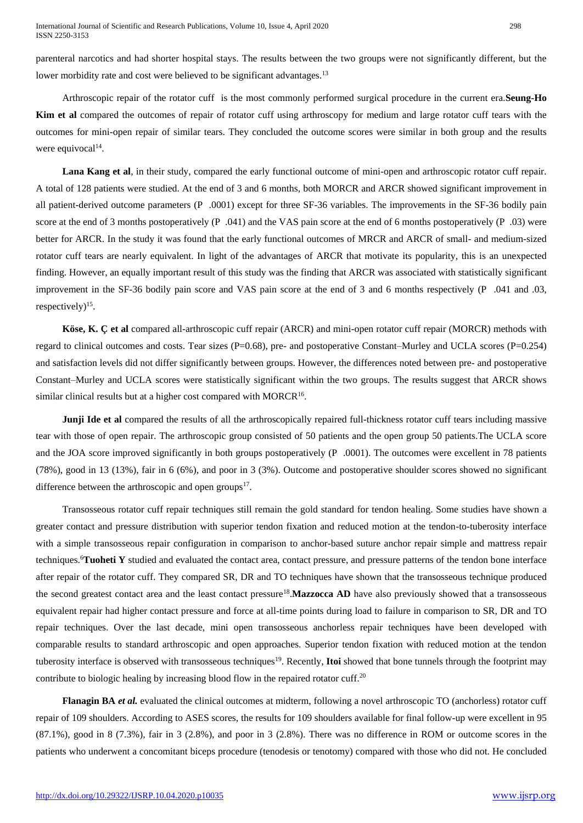parenteral narcotics and had shorter hospital stays. The results between the two groups were not significantly different, but the lower morbidity rate and cost were believed to be significant advantages.<sup>13</sup>

Arthroscopic repair of the rotator cuff is the most commonly performed surgical procedure in the current era.**Seung-Ho Kim et al** compared the outcomes of repair of rotator cuff using arthroscopy for medium and large rotator cuff tears with the outcomes for mini-open repair of similar tears. They concluded the outcome scores were similar in both group and the results were equivocal $14$ .

**Lana Kang et al**, in their study, compared the early functional outcome of mini-open and arthroscopic rotator cuff repair. A total of 128 patients were studied. At the end of 3 and 6 months, both MORCR and ARCR showed significant improvement in all patient-derived outcome parameters (P .0001) except for three SF-36 variables. The improvements in the SF-36 bodily pain score at the end of 3 months postoperatively (P .041) and the VAS pain score at the end of 6 months postoperatively (P .03) were better for ARCR. In the study it was found that the early functional outcomes of MRCR and ARCR of small- and medium-sized rotator cuff tears are nearly equivalent. In light of the advantages of ARCR that motivate its popularity, this is an unexpected finding. However, an equally important result of this study was the finding that ARCR was associated with statistically significant improvement in the SF-36 bodily pain score and VAS pain score at the end of 3 and 6 months respectively (P .041 and .03, respectively)<sup>15</sup>.

**Köse, K. Ç et al** compared all-arthroscopic cuff repair (ARCR) and mini-open rotator cuff repair (MORCR) methods with regard to clinical outcomes and costs. Tear sizes (P=0.68), pre- and postoperative Constant–Murley and UCLA scores (P=0.254) and satisfaction levels did not differ significantly between groups. However, the differences noted between pre- and postoperative Constant–Murley and UCLA scores were statistically significant within the two groups. The results suggest that ARCR shows similar clinical results but at a higher cost compared with MORCR $16$ .

**Junji Ide et al** compared the results of all the arthroscopically repaired full-thickness rotator cuff tears including massive tear with those of open repair. The arthroscopic group consisted of 50 patients and the open group 50 patients.The UCLA score and the JOA score improved significantly in both groups postoperatively (P .0001). The outcomes were excellent in 78 patients (78%), good in 13 (13%), fair in 6 (6%), and poor in 3 (3%). Outcome and postoperative shoulder scores showed no significant difference between the arthroscopic and open groups $17$ .

Transosseous rotator cuff repair techniques still remain the gold standard for tendon healing. Some studies have shown a greater contact and pressure distribution with superior tendon fixation and reduced motion at the tendon-to-tuberosity interface with a simple transosseous repair configuration in comparison to anchor-based suture anchor repair simple and mattress repair techniques.<sup>6</sup>**Tuoheti Y** studied and evaluated the contact area, contact pressure, and pressure patterns of the tendon bone interface after repair of the rotator cuff. They compared SR, DR and TO techniques have shown that the transosseous technique produced the second greatest contact area and the least contact pressure<sup>18</sup>.Mazzocca AD have also previously showed that a transosseous equivalent repair had higher contact pressure and force at all-time points during load to failure in comparison to SR, DR and TO repair techniques. Over the last decade, mini open transosseous anchorless repair techniques have been developed with comparable results to standard arthroscopic and open approaches. Superior tendon fixation with reduced motion at the tendon tuberosity interface is observed with transosseous techniques<sup>19</sup>. Recently, **Itoi** showed that bone tunnels through the footprint may contribute to biologic healing by increasing blood flow in the repaired rotator cuff.<sup>20</sup>

**Flanagin BA** *et al.* evaluated the clinical outcomes at midterm, following a novel arthroscopic TO (anchorless) rotator cuff repair of 109 shoulders. According to ASES scores, the results for 109 shoulders available for final follow-up were excellent in 95 (87.1%), good in 8 (7.3%), fair in 3 (2.8%), and poor in 3 (2.8%). There was no difference in ROM or outcome scores in the patients who underwent a concomitant biceps procedure (tenodesis or tenotomy) compared with those who did not. He concluded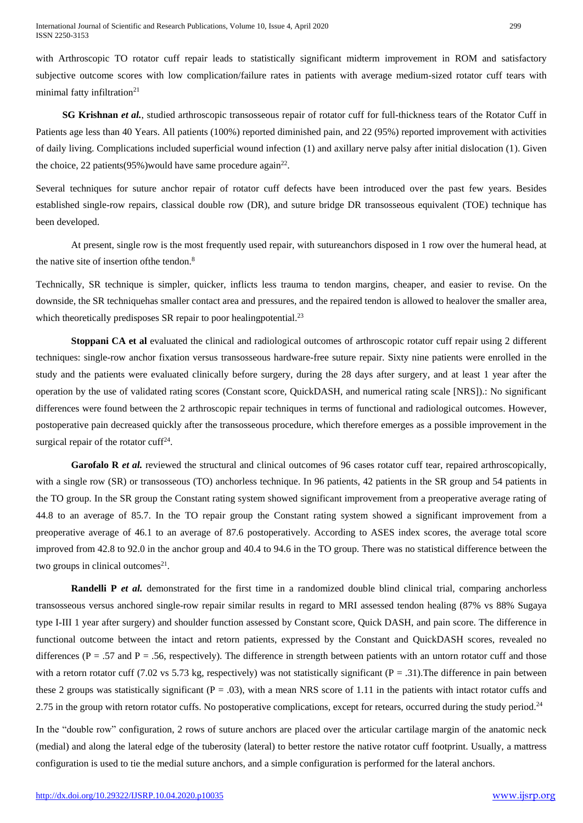with Arthroscopic TO rotator cuff repair leads to statistically significant midterm improvement in ROM and satisfactory subjective outcome scores with low complication/failure rates in patients with average medium-sized rotator cuff tears with minimal fatty infiltration $21$ 

**SG Krishnan** *et al.*, studied arthroscopic transosseous repair of rotator cuff for full-thickness tears of the Rotator Cuff in Patients age less than 40 Years. All patients (100%) reported diminished pain, and 22 (95%) reported improvement with activities of daily living. Complications included superficial wound infection (1) and axillary nerve palsy after initial dislocation (1). Given the choice, 22 patients  $(95\%)$  would have same procedure again<sup>22</sup>.

Several techniques for suture anchor repair of rotator cuff defects have been introduced over the past few years. Besides established single-row repairs, classical double row (DR), and suture bridge DR transosseous equivalent (TOE) technique has been developed.

At present, single row is the most frequently used repair, with sutureanchors disposed in 1 row over the humeral head, at the native site of insertion ofthe tendon.<sup>8</sup>

Technically, SR technique is simpler, quicker, inflicts less trauma to tendon margins, cheaper, and easier to revise. On the downside, the SR techniquehas smaller contact area and pressures, and the repaired tendon is allowed to healover the smaller area, which theoretically predisposes SR repair to poor healing potential.<sup>23</sup>

**Stoppani CA et al** evaluated the clinical and radiological outcomes of arthroscopic rotator cuff repair using 2 different techniques: single-row anchor fixation versus transosseous hardware-free suture repair. Sixty nine patients were enrolled in the study and the patients were evaluated clinically before surgery, during the 28 days after surgery, and at least 1 year after the operation by the use of validated rating scores (Constant score, QuickDASH, and numerical rating scale [NRS]).: No significant differences were found between the 2 arthroscopic repair techniques in terms of functional and radiological outcomes. However, postoperative pain decreased quickly after the transosseous procedure, which therefore emerges as a possible improvement in the surgical repair of the rotator cuff<sup>24</sup>.

Garofalo R *et al.* reviewed the structural and clinical outcomes of 96 cases rotator cuff tear, repaired arthroscopically, with a single row (SR) or transosseous (TO) anchorless technique. In 96 patients, 42 patients in the SR group and 54 patients in the TO group. In the SR group the Constant rating system showed significant improvement from a preoperative average rating of 44.8 to an average of 85.7. In the TO repair group the Constant rating system showed a significant improvement from a preoperative average of 46.1 to an average of 87.6 postoperatively. According to ASES index scores, the average total score improved from 42.8 to 92.0 in the anchor group and 40.4 to 94.6 in the TO group. There was no statistical difference between the two groups in clinical outcomes $21$ .

**Randelli P** *et al.* demonstrated for the first time in a randomized double blind clinical trial, comparing anchorless transosseous versus anchored single-row repair similar results in regard to MRI assessed tendon healing (87% vs 88% Sugaya type I-III 1 year after surgery) and shoulder function assessed by Constant score, Quick DASH, and pain score. The difference in functional outcome between the intact and retorn patients, expressed by the Constant and QuickDASH scores, revealed no differences ( $P = .57$  and  $P = .56$ , respectively). The difference in strength between patients with an untorn rotator cuff and those with a retorn rotator cuff (7.02 vs 5.73 kg, respectively) was not statistically significant (P = .31). The difference in pain between these 2 groups was statistically significant ( $P = .03$ ), with a mean NRS score of 1.11 in the patients with intact rotator cuffs and 2.75 in the group with retorn rotator cuffs. No postoperative complications, except for retears, occurred during the study period.<sup>24</sup>

In the "double row" configuration, 2 rows of suture anchors are placed over the articular cartilage margin of the anatomic neck (medial) and along the lateral edge of the tuberosity (lateral) to better restore the native rotator cuff footprint. Usually, a mattress configuration is used to tie the medial suture anchors, and a simple configuration is performed for the lateral anchors.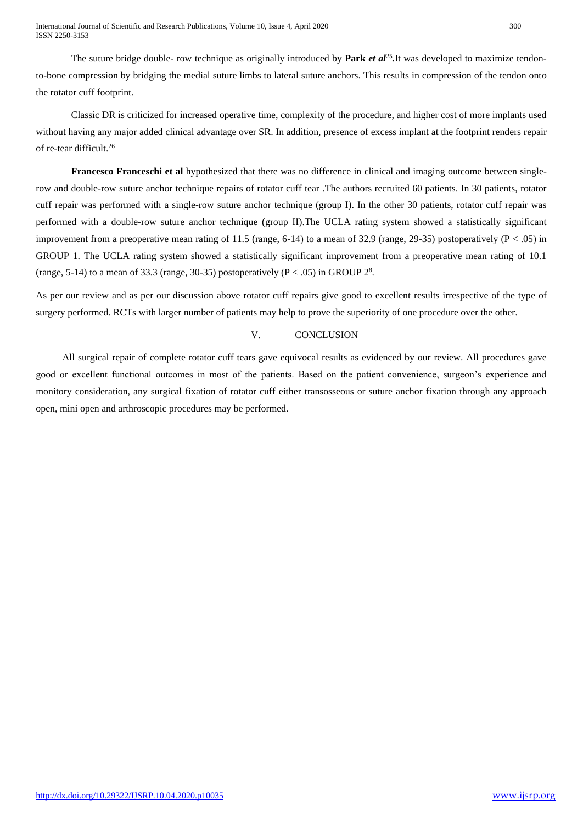International Journal of Scientific and Research Publications, Volume 10, Issue 4, April 2020 300 ISSN 2250-3153

The suture bridge double- row technique as originally introduced by **Park** *et al*<sup>25</sup>. It was developed to maximize tendonto-bone compression by bridging the medial suture limbs to lateral suture anchors. This results in compression of the tendon onto the rotator cuff footprint.

Classic DR is criticized for increased operative time, complexity of the procedure, and higher cost of more implants used without having any major added clinical advantage over SR. In addition, presence of excess implant at the footprint renders repair of re-tear difficult.<sup>26</sup>

**Francesco Franceschi et al** hypothesized that there was no difference in clinical and imaging outcome between singlerow and double-row suture anchor technique repairs of rotator cuff tear .The authors recruited 60 patients. In 30 patients, rotator cuff repair was performed with a single-row suture anchor technique (group I). In the other 30 patients, rotator cuff repair was performed with a double-row suture anchor technique (group II).The UCLA rating system showed a statistically significant improvement from a preoperative mean rating of 11.5 (range, 6-14) to a mean of 32.9 (range, 29-35) postoperatively  $(P < .05)$  in GROUP 1. The UCLA rating system showed a statistically significant improvement from a preoperative mean rating of 10.1 (range, 5-14) to a mean of 33.3 (range, 30-35) postoperatively ( $P < .05$ ) in GROUP  $2<sup>8</sup>$ .

As per our review and as per our discussion above rotator cuff repairs give good to excellent results irrespective of the type of surgery performed. RCTs with larger number of patients may help to prove the superiority of one procedure over the other.

# V. CONCLUSION

All surgical repair of complete rotator cuff tears gave equivocal results as evidenced by our review. All procedures gave good or excellent functional outcomes in most of the patients. Based on the patient convenience, surgeon's experience and monitory consideration, any surgical fixation of rotator cuff either transosseous or suture anchor fixation through any approach open, mini open and arthroscopic procedures may be performed.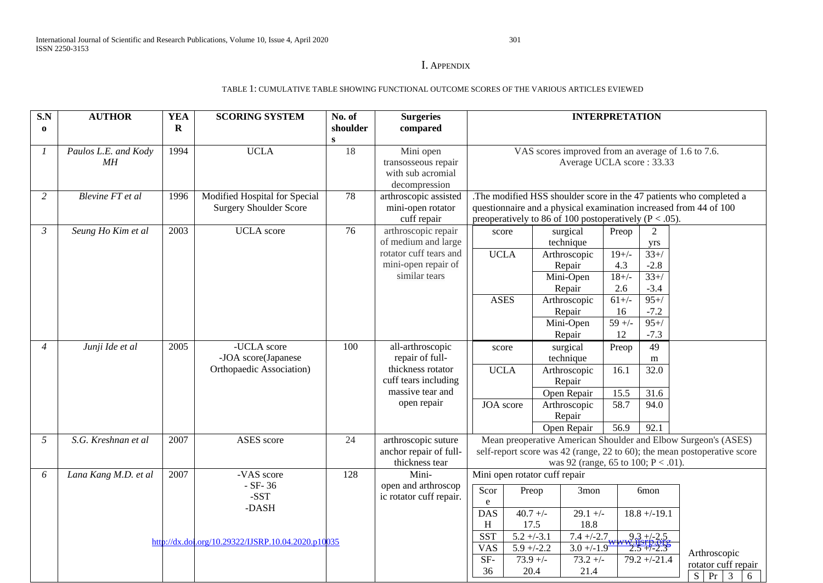# I. APPENDIX

#### TABLE 1: CUMULATIVE TABLE SHOWING FUNCTIONAL OUTCOME SCORES OF THE VARIOUS ARTICLES EVIEWED

| S.N<br>$\bf{0}$ | <b>AUTHOR</b>              | <b>YEA</b><br>$\mathbf R$ | <b>SCORING SYSTEM</b>                                                                           | No. of<br>shoulder<br>$\mathbf{s}$ | <b>Surgeries</b><br>compared                                                                                        | <b>INTERPRETATION</b>                                                                                                                                                                                                                                                                                                                                                                                                                                |  |  |  |
|-----------------|----------------------------|---------------------------|-------------------------------------------------------------------------------------------------|------------------------------------|---------------------------------------------------------------------------------------------------------------------|------------------------------------------------------------------------------------------------------------------------------------------------------------------------------------------------------------------------------------------------------------------------------------------------------------------------------------------------------------------------------------------------------------------------------------------------------|--|--|--|
|                 | Paulos L.E. and Kody<br>MH | 1994                      | <b>UCLA</b>                                                                                     | 18                                 | Mini open<br>transosseous repair<br>with sub acromial<br>decompression                                              | VAS scores improved from an average of 1.6 to 7.6.<br>Average UCLA score: 33.33                                                                                                                                                                                                                                                                                                                                                                      |  |  |  |
| 2               | Blevine FT et al           | 1996                      | Modified Hospital for Special<br><b>Surgery Shoulder Score</b>                                  | 78                                 | arthroscopic assisted<br>mini-open rotator<br>cuff repair                                                           | The modified HSS shoulder score in the 47 patients who completed a<br>questionnaire and a physical examination increased from 44 of 100<br>preoperatively to 86 of 100 postoperatively ( $P < .05$ ).                                                                                                                                                                                                                                                |  |  |  |
| $\mathcal{E}$   | Seung Ho Kim et al         | 2003                      | <b>UCLA</b> score                                                                               | 76                                 | arthroscopic repair<br>of medium and large<br>rotator cuff tears and<br>mini-open repair of<br>similar tears        | surgical<br>Preop<br>2<br>score<br>technique<br>yrs<br>$33+$ /<br><b>UCLA</b><br>Arthroscopic<br>$19+/-$<br>4.3<br>$-2.8$<br>Repair<br>$18+/-$<br>$33+$<br>Mini-Open<br>$-3.4$<br>2.6<br>Repair<br>$95+$<br><b>ASES</b><br>Arthroscopic<br>$61+/-$<br>16<br>$-7.2$<br>Repair<br>$\frac{1}{59}$ +/-<br>$95+$ /<br>Mini-Open                                                                                                                           |  |  |  |
| $\overline{4}$  | Junji Ide et al            | 2005                      | -UCLA score<br>-JOA score(Japanese<br>Orthopaedic Association)                                  | 100                                | all-arthroscopic<br>repair of full-<br>thickness rotator<br>cuff tears including<br>massive tear and<br>open repair | $-7.3$<br>12<br>Repair<br>49<br>surgical<br>Preop<br>score<br>technique<br>m<br><b>UCLA</b><br>16.1<br>32.0<br>Arthroscopic<br>Repair<br>15.5<br>31.6<br>Open Repair<br>JOA score<br>58.7<br>Arthroscopic<br>94.0<br>Repair<br>56.9<br>92.1<br>Open Repair                                                                                                                                                                                           |  |  |  |
| .5              | S.G. Kreshnan et al        | 2007                      | ASES score                                                                                      | 24                                 | arthroscopic suture<br>anchor repair of full-<br>thickness tear                                                     | Mean preoperative American Shoulder and Elbow Surgeon's (ASES)<br>self-report score was 42 (range, 22 to 60); the mean postoperative score<br>was 92 (range, 65 to 100; $P < .01$ ).                                                                                                                                                                                                                                                                 |  |  |  |
| 6               | Lana Kang M.D. et al       | 2007                      | -VAS score<br>$-SF-36$<br>$-SST$<br>-DASH<br>http://dx.doi.org/10.29322/IJSRP.10.04.2020.p10035 | 128                                | Mini-<br>open and arthroscop<br>ic rotator cuff repair.                                                             | Mini open rotator cuff repair<br>Scor<br>Preop<br>3mon<br>6 <sub>mon</sub><br>e<br>$40.7 +/-$<br>$18.8 + -19.1$<br><b>DAS</b><br>$29.1 +/-$<br>17.5<br>18.8<br>H<br>$9.3 + 2.5$<br><b>SST</b><br>$5.2 + (-3.1)$<br>$7.4 + (-2.7)$<br>$\frac{7.115117.019}{2.5}$<br>$3.0 + (-1.9$<br><b>VAS</b><br>$5.9 + -2.2$<br>Arthroscopic<br>$SF-$<br>$73.9 +/-$<br>$73.2 +/-$<br>$79.2 + (-21.4$<br>rotator cuff repair<br>36<br>20.4<br>21.4<br>$S$ Pr 3<br>6 |  |  |  |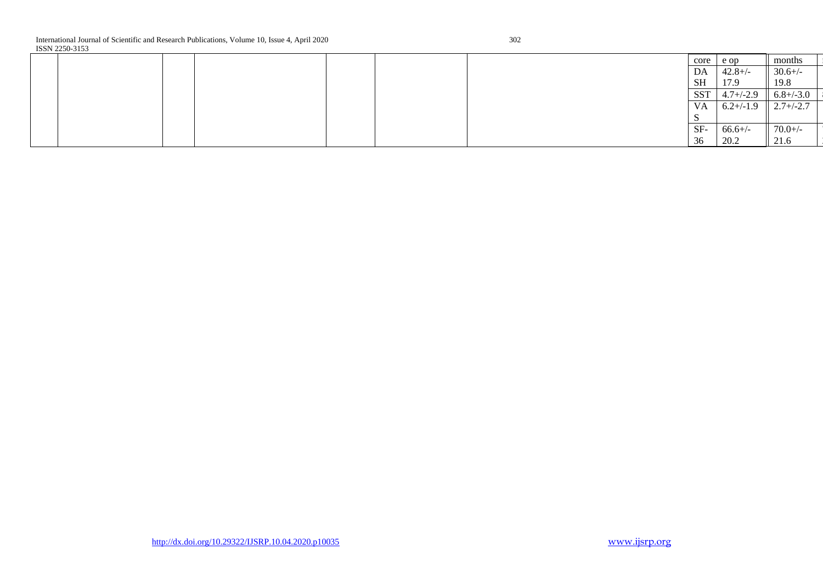|  |  |  | core         | e op           | months         |  |
|--|--|--|--------------|----------------|----------------|--|
|  |  |  | DA           | $42.8 +/-$     | $30.6 +/-$     |  |
|  |  |  | <b>SH</b>    | 17.9           | 19.8           |  |
|  |  |  | <b>SST</b>   | $4.7 + (-2.9)$ | $6.8 + (-3.0)$ |  |
|  |  |  | VA           | $6.2 + (-1.9)$ | $2.7 + (-2.7)$ |  |
|  |  |  | $\sim$<br>ັນ |                |                |  |
|  |  |  | SF-          | $66.6+/-$      | $70.0 +/-$     |  |
|  |  |  | 36           | 20.2           | 21.6           |  |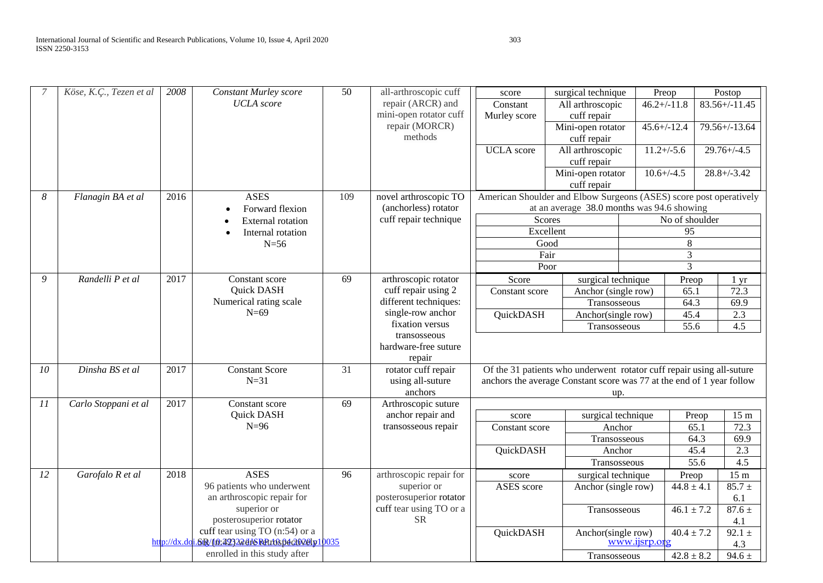|    | Köse, K.Ç., Tezen et al | 2008 | <b>Constant Murley score</b>                              | $\overline{50}$ | all-arthroscopic cuff                         | score                    | surgical technique                                                    | Preop            |                | Postop                  |
|----|-------------------------|------|-----------------------------------------------------------|-----------------|-----------------------------------------------|--------------------------|-----------------------------------------------------------------------|------------------|----------------|-------------------------|
|    |                         |      | <b>UCLA</b> score                                         |                 | repair (ARCR) and<br>mini-open rotator cuff   | Constant<br>Murley score | All arthroscopic<br>cuff repair                                       | $46.2 + (-11.8)$ |                | $83.56 + / -11.45$      |
|    |                         |      |                                                           |                 | repair (MORCR)<br>methods                     |                          | Mini-open rotator<br>cuff repair                                      | $45.6 + (-12.4)$ |                | $79.56 + (-13.64)$      |
|    |                         |      |                                                           |                 |                                               | <b>UCLA</b> score        | All arthroscopic                                                      | $11.2 + (-5.6)$  |                | $29.76 + (-4.5)$        |
|    |                         |      |                                                           |                 |                                               |                          | cuff repair<br>Mini-open rotator                                      | $10.6 + (-4.5)$  |                | $28.8 + / -3.42$        |
|    |                         |      |                                                           |                 |                                               |                          | cuff repair                                                           |                  |                |                         |
| 8  | Flanagin BA et al       | 2016 | <b>ASES</b>                                               | 109             | novel arthroscopic TO                         |                          | American Shoulder and Elbow Surgeons (ASES) score post operatively    |                  |                |                         |
|    |                         |      | Forward flexion                                           |                 | (anchorless) rotator<br>cuff repair technique | Scores                   | at an average 38.0 months was 94.6 showing                            |                  | No of shoulder |                         |
|    |                         |      | <b>External rotation</b><br>Internal rotation             |                 |                                               | Excellent                |                                                                       |                  | 95             |                         |
|    |                         |      | $N=56$                                                    |                 |                                               | Good                     |                                                                       |                  | 8              |                         |
|    |                         |      |                                                           |                 |                                               | Fair                     |                                                                       |                  | $\overline{3}$ |                         |
|    |                         |      |                                                           |                 |                                               | Poor                     |                                                                       |                  | $\overline{3}$ |                         |
| 9  | Randelli P et al        | 2017 | Constant score                                            | 69              | arthroscopic rotator                          | Score                    | surgical technique                                                    |                  | Preop          | 1 yr                    |
|    |                         |      | Quick DASH                                                |                 | cuff repair using 2                           | Constant score           | Anchor (single row)                                                   |                  | 65.1           | 72.3                    |
|    |                         |      | Numerical rating scale                                    |                 | different techniques:                         |                          | Transosseous                                                          |                  | 64.3           | 69.9                    |
|    |                         |      | $N=69$                                                    |                 | single-row anchor                             | QuickDASH                | Anchor(single row)                                                    |                  | 45.4           | 2.3                     |
|    |                         |      |                                                           |                 | fixation versus<br>transosseous               |                          | Transosseous                                                          |                  | 55.6           | 4.5                     |
|    |                         |      |                                                           |                 | hardware-free suture                          |                          |                                                                       |                  |                |                         |
|    |                         |      |                                                           |                 | repair                                        |                          |                                                                       |                  |                |                         |
| 10 | Dinsha BS et al         | 2017 | <b>Constant Score</b>                                     | $\overline{31}$ | rotator cuff repair                           |                          | Of the 31 patients who underwent rotator cuff repair using all-suture |                  |                |                         |
|    |                         |      | $N=31$                                                    |                 | using all-suture                              |                          | anchors the average Constant score was 77 at the end of 1 year follow |                  |                |                         |
|    |                         |      |                                                           |                 | anchors                                       |                          | up.                                                                   |                  |                |                         |
| 11 | Carlo Stoppani et al    | 2017 | Constant score<br>Quick DASH                              | 69              | Arthroscopic suture<br>anchor repair and      |                          |                                                                       |                  |                |                         |
|    |                         |      | $N=96$                                                    |                 | transosseous repair                           | score<br>Constant score  | surgical technique<br>Anchor                                          |                  | Preop<br>65.1  | 15 <sub>m</sub><br>72.3 |
|    |                         |      |                                                           |                 |                                               |                          | Transosseous                                                          |                  | 64.3           | 69.9                    |
|    |                         |      |                                                           |                 |                                               | QuickDASH                | Anchor                                                                |                  | 45.4           | 2.3                     |
|    |                         |      |                                                           |                 |                                               |                          | Transosseous                                                          |                  | 55.6           | 4.5                     |
| 12 | Garofalo R et al        | 2018 | <b>ASES</b>                                               | 96              | arthroscopic repair for                       | score                    | surgical technique                                                    |                  | Preop          | 15 <sub>m</sub>         |
|    |                         |      | 96 patients who underwent                                 |                 | superior or                                   | ASES score               | Anchor (single row)                                                   |                  | $44.8 \pm 4.1$ | $85.7 \pm$              |
|    |                         |      | an arthroscopic repair for                                |                 | posterosuperior rotator                       |                          |                                                                       |                  |                | 6.1                     |
|    |                         |      | superior or                                               |                 | cuff tear using TO or a                       |                          | Transosseous                                                          |                  | $46.1 \pm 7.2$ | $87.6 \pm$              |
|    |                         |      | posterosuperior rotator<br>cuff tear using TO (n:54) or a |                 | <b>SR</b>                                     |                          |                                                                       |                  |                | 4.1                     |
|    |                         |      | http://dx.dci.6R/(0:22322dJSRd1t0s04c00201p10035          |                 |                                               | QuickDASH                | Anchor(single row)                                                    | www.ijsrp.org    | $40.4 \pm 7.2$ | $92.1 \pm$<br>4.3       |
|    |                         |      | enrolled in this study after                              |                 |                                               |                          | Transosseous                                                          |                  | $42.8 \pm 8.2$ | $94.6 \pm$              |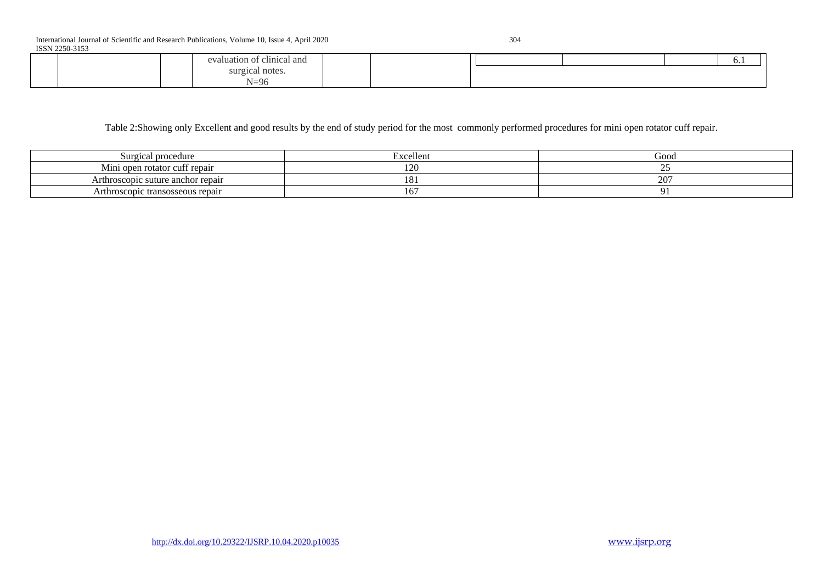| <b>BULLETO 2122</b> |  |  |                                        |  |  |  |  |  |  |     |  |
|---------------------|--|--|----------------------------------------|--|--|--|--|--|--|-----|--|
|                     |  |  | . .<br>al and<br>$\mathbf{a}$<br>elini |  |  |  |  |  |  | 0.1 |  |
|                     |  |  | 111'                                   |  |  |  |  |  |  |     |  |
|                     |  |  | $\Omega$                               |  |  |  |  |  |  |     |  |

Table 2:Showing only Excellent and good results by the end of study period for the most commonly performed procedures for mini open rotator cuff repair.

| Surgical procedure                | -11<br>Excellent            | Good     |
|-----------------------------------|-----------------------------|----------|
| Mini open rotator cuff repair     | חרו<br>$\sim$ $\sim$ $\sim$ | --       |
| Arthroscopic suture anchor repair | $\sim$<br>LO.               | $20^{-}$ |
| Arthroscopic transosseous repair  | 1 U 1                       |          |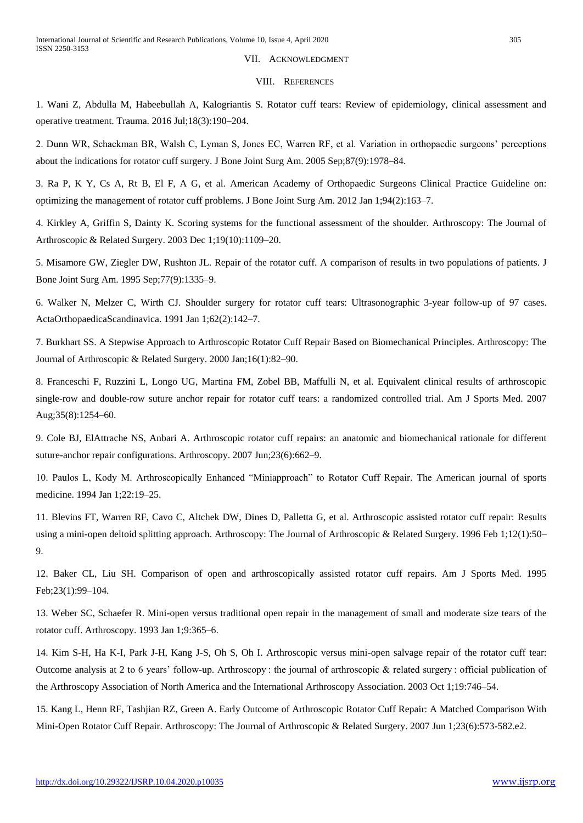# VII. ACKNOWLEDGMENT

#### VIII. REFERENCES

1. Wani Z, Abdulla M, Habeebullah A, Kalogriantis S. Rotator cuff tears: Review of epidemiology, clinical assessment and operative treatment. Trauma. 2016 Jul;18(3):190–204.

2. Dunn WR, Schackman BR, Walsh C, Lyman S, Jones EC, Warren RF, et al. Variation in orthopaedic surgeons' perceptions about the indications for rotator cuff surgery. J Bone Joint Surg Am. 2005 Sep;87(9):1978–84.

3. Ra P, K Y, Cs A, Rt B, El F, A G, et al. American Academy of Orthopaedic Surgeons Clinical Practice Guideline on: optimizing the management of rotator cuff problems. J Bone Joint Surg Am. 2012 Jan 1;94(2):163–7.

4. Kirkley A, Griffin S, Dainty K. Scoring systems for the functional assessment of the shoulder. Arthroscopy: The Journal of Arthroscopic & Related Surgery. 2003 Dec 1;19(10):1109–20.

5. Misamore GW, Ziegler DW, Rushton JL. Repair of the rotator cuff. A comparison of results in two populations of patients. J Bone Joint Surg Am. 1995 Sep;77(9):1335–9.

6. Walker N, Melzer C, Wirth CJ. Shoulder surgery for rotator cuff tears: Ultrasonographic 3-year follow-up of 97 cases. ActaOrthopaedicaScandinavica. 1991 Jan 1;62(2):142–7.

7. Burkhart SS. A Stepwise Approach to Arthroscopic Rotator Cuff Repair Based on Biomechanical Principles. Arthroscopy: The Journal of Arthroscopic & Related Surgery. 2000 Jan;16(1):82–90.

8. Franceschi F, Ruzzini L, Longo UG, Martina FM, Zobel BB, Maffulli N, et al. Equivalent clinical results of arthroscopic single-row and double-row suture anchor repair for rotator cuff tears: a randomized controlled trial. Am J Sports Med. 2007 Aug;35(8):1254–60.

9. Cole BJ, ElAttrache NS, Anbari A. Arthroscopic rotator cuff repairs: an anatomic and biomechanical rationale for different suture-anchor repair configurations. Arthroscopy. 2007 Jun;23(6):662–9.

10. Paulos L, Kody M. Arthroscopically Enhanced "Miniapproach" to Rotator Cuff Repair. The American journal of sports medicine. 1994 Jan 1;22:19–25.

11. Blevins FT, Warren RF, Cavo C, Altchek DW, Dines D, Palletta G, et al. Arthroscopic assisted rotator cuff repair: Results using a mini-open deltoid splitting approach. Arthroscopy: The Journal of Arthroscopic & Related Surgery. 1996 Feb 1;12(1):50– 9.

12. Baker CL, Liu SH. Comparison of open and arthroscopically assisted rotator cuff repairs. Am J Sports Med. 1995 Feb;23(1):99–104.

13. Weber SC, Schaefer R. Mini-open versus traditional open repair in the management of small and moderate size tears of the rotator cuff. Arthroscopy. 1993 Jan 1;9:365–6.

14. Kim S-H, Ha K-I, Park J-H, Kang J-S, Oh S, Oh I. Arthroscopic versus mini-open salvage repair of the rotator cuff tear: Outcome analysis at 2 to 6 years' follow-up. Arthroscopy : the journal of arthroscopic & related surgery : official publication of the Arthroscopy Association of North America and the International Arthroscopy Association. 2003 Oct 1;19:746–54.

15. Kang L, Henn RF, Tashjian RZ, Green A. Early Outcome of Arthroscopic Rotator Cuff Repair: A Matched Comparison With Mini-Open Rotator Cuff Repair. Arthroscopy: The Journal of Arthroscopic & Related Surgery. 2007 Jun 1;23(6):573-582.e2.